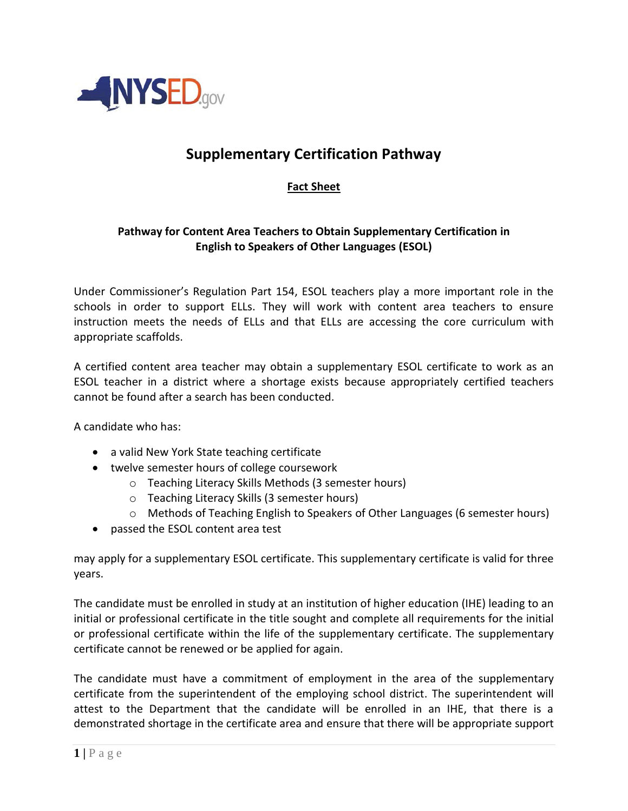

## **Supplementary Certification Pathway**

## **Fact Sheet**

## **Pathway for Content Area Teachers to Obtain Supplementary Certification in English to Speakers of Other Languages (ESOL)**

Under Commissioner's Regulation Part 154, ESOL teachers play a more important role in the schools in order to support ELLs. They will work with content area teachers to ensure instruction meets the needs of ELLs and that ELLs are accessing the core curriculum with appropriate scaffolds.

A certified content area teacher may obtain a supplementary ESOL certificate to work as an ESOL teacher in a district where a shortage exists because appropriately certified teachers cannot be found after a search has been conducted.

A candidate who has:

- a valid New York State teaching certificate
- twelve semester hours of college coursework
	- o Teaching Literacy Skills Methods (3 semester hours)
	- o Teaching Literacy Skills (3 semester hours)
	- o Methods of Teaching English to Speakers of Other Languages (6 semester hours)
- passed the ESOL content area test

may apply for a supplementary ESOL certificate. This supplementary certificate is valid for three years.

The candidate must be enrolled in study at an institution of higher education (IHE) leading to an initial or professional certificate in the title sought and complete all requirements for the initial or professional certificate within the life of the supplementary certificate. The supplementary certificate cannot be renewed or be applied for again.

The candidate must have a commitment of employment in the area of the supplementary certificate from the superintendent of the employing school district. The superintendent will attest to the Department that the candidate will be enrolled in an IHE, that there is a demonstrated shortage in the certificate area and ensure that there will be appropriate support